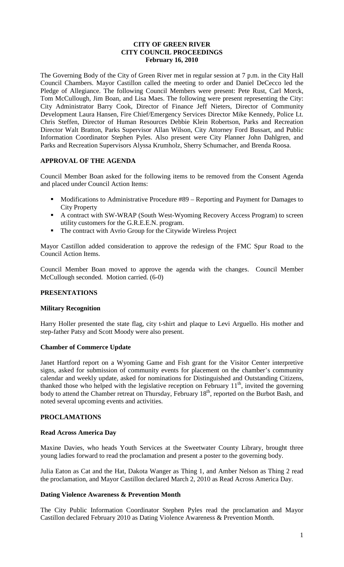# **CITY OF GREEN RIVER CITY COUNCIL PROCEEDINGS February 16, 2010**

The Governing Body of the City of Green River met in regular session at 7 p.m. in the City Hall Council Chambers. Mayor Castillon called the meeting to order and Daniel DeCecco led the Pledge of Allegiance. The following Council Members were present: Pete Rust, Carl Morck, Tom McCullough, Jim Boan, and Lisa Maes. The following were present representing the City: City Administrator Barry Cook, Director of Finance Jeff Nieters, Director of Community Development Laura Hansen, Fire Chief/Emergency Services Director Mike Kennedy, Police Lt. Chris Steffen, Director of Human Resources Debbie Klein Robertson, Parks and Recreation Director Walt Bratton, Parks Supervisor Allan Wilson, City Attorney Ford Bussart, and Public Information Coordinator Stephen Pyles. Also present were City Planner John Dahlgren, and Parks and Recreation Supervisors Alyssa Krumholz, Sherry Schumacher, and Brenda Roosa.

# **APPROVAL OF THE AGENDA**

Council Member Boan asked for the following items to be removed from the Consent Agenda and placed under Council Action Items:

- Modifications to Administrative Procedure #89 Reporting and Payment for Damages to City Property
- A contract with SW-WRAP (South West-Wyoming Recovery Access Program) to screen utility customers for the G.R.E.E.N. program.
- The contract with Avrio Group for the Citywide Wireless Project

Mayor Castillon added consideration to approve the redesign of the FMC Spur Road to the Council Action Items.

Council Member Boan moved to approve the agenda with the changes. Council Member McCullough seconded. Motion carried. (6-0)

# **PRESENTATIONS**

# **Military Recognition**

Harry Holler presented the state flag, city t-shirt and plaque to Levi Arguello. His mother and step-father Patsy and Scott Moody were also present.

# **Chamber of Commerce Update**

Janet Hartford report on a Wyoming Game and Fish grant for the Visitor Center interpretive signs, asked for submission of community events for placement on the chamber's community calendar and weekly update, asked for nominations for Distinguished and Outstanding Citizens, thanked those who helped with the legislative reception on February  $11<sup>th</sup>$ , invited the governing body to attend the Chamber retreat on Thursday, February 18<sup>th</sup>, reported on the Burbot Bash, and noted several upcoming events and activities.

# **PROCLAMATIONS**

# **Read Across America Day**

Maxine Davies, who heads Youth Services at the Sweetwater County Library, brought three young ladies forward to read the proclamation and present a poster to the governing body.

Julia Eaton as Cat and the Hat, Dakota Wanger as Thing 1, and Amber Nelson as Thing 2 read the proclamation, and Mayor Castillon declared March 2, 2010 as Read Across America Day.

# **Dating Violence Awareness & Prevention Month**

The City Public Information Coordinator Stephen Pyles read the proclamation and Mayor Castillon declared February 2010 as Dating Violence Awareness & Prevention Month.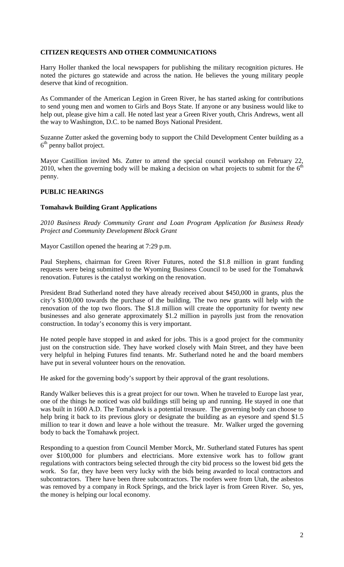# **CITIZEN REQUESTS AND OTHER COMMUNICATIONS**

Harry Holler thanked the local newspapers for publishing the military recognition pictures. He noted the pictures go statewide and across the nation. He believes the young military people deserve that kind of recognition.

As Commander of the American Legion in Green River, he has started asking for contributions to send young men and women to Girls and Boys State. If anyone or any business would like to help out, please give him a call. He noted last year a Green River youth, Chris Andrews, went all the way to Washington, D.C. to be named Boys National President.

Suzanne Zutter asked the governing body to support the Child Development Center building as a  $6<sup>th</sup>$  penny ballot project.

Mayor Castillion invited Ms. Zutter to attend the special council workshop on February 22, 2010, when the governing body will be making a decision on what projects to submit for the  $6<sup>th</sup>$ penny.

# **PUBLIC HEARINGS**

#### **Tomahawk Building Grant Applications**

*2010 Business Ready Community Grant and Loan Program Application for Business Ready Project and Community Development Block Grant*

Mayor Castillon opened the hearing at 7:29 p.m.

Paul Stephens, chairman for Green River Futures, noted the \$1.8 million in grant funding requests were being submitted to the Wyoming Business Council to be used for the Tomahawk renovation. Futures is the catalyst working on the renovation.

President Brad Sutherland noted they have already received about \$450,000 in grants, plus the city's \$100,000 towards the purchase of the building. The two new grants will help with the renovation of the top two floors. The \$1.8 million will create the opportunity for twenty new businesses and also generate approximately \$1.2 million in payrolls just from the renovation construction. In today's economy this is very important.

He noted people have stopped in and asked for jobs. This is a good project for the community just on the construction side. They have worked closely with Main Street, and they have been very helpful in helping Futures find tenants. Mr. Sutherland noted he and the board members have put in several volunteer hours on the renovation.

He asked for the governing body's support by their approval of the grant resolutions.

Randy Walker believes this is a great project for our town. When he traveled to Europe last year, one of the things he noticed was old buildings still being up and running. He stayed in one that was built in 1600 A.D. The Tomahawk is a potential treasure. The governing body can choose to help bring it back to its previous glory or designate the building as an eyesore and spend \$1.5 million to tear it down and leave a hole without the treasure. Mr. Walker urged the governing body to back the Tomahawk project.

Responding to a question from Council Member Morck, Mr. Sutherland stated Futures has spent over \$100,000 for plumbers and electricians. More extensive work has to follow grant regulations with contractors being selected through the city bid process so the lowest bid gets the work. So far, they have been very lucky with the bids being awarded to local contractors and subcontractors. There have been three subcontractors. The roofers were from Utah, the asbestos was removed by a company in Rock Springs, and the brick layer is from Green River. So, yes, the money is helping our local economy.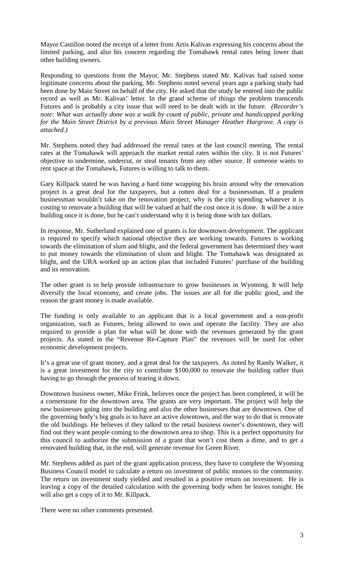Mayor Castillon noted the receipt of a letter from Artis Kalivas expressing his concerns about the limited parking, and also his concern regarding the Tomahawk rental rates being lower than other building owners.

Responding to questions from the Mayor, Mr. Stephens stated Mr. Kalivas had raised some legitimate concerns about the parking. Mr. Stephens noted several years ago a parking study had been done by Main Street on behalf of the city. He asked that the study be entered into the public record as well as Mr. Kalivas' letter. In the grand scheme of things the problem transcends Futures and is probably a city issue that will need to be dealt with in the future. *(Recorder's note: What was actually done was a walk by count of public, private and handicapped parking for the Main Street District by a previous Main Street Manager Heather Hargrove. A copy is attached.)*

Mr. Stephens noted they had addressed the rental rates at the last council meeting. The rental rates at the Tomahawk will approach the market rental rates within the city. It is not Futures' objective to undermine, undercut, or steal tenants from any other source. If someone wants to rent space at the Tomahawk, Futures is willing to talk to them.

Gary Killpack stated he was having a hard time wrapping his brain around why the renovation project is a great deal for the taxpayers, but a rotten deal for a businessman. If a prudent businessman wouldn't take on the renovation project, why is the city spending whatever it is costing to renovate a building that will be valued at half the cost once it is done. It will be a nice building once it is done, but he can't understand why it is being done with tax dollars.

In response, Mr. Sutherland explained one of grants is for downtown development. The applicant is required to specify which national objective they are working towards. Futures is working towards the elimination of slum and blight, and the federal government has determined they want to put money towards the elimination of slum and blight. The Tomahawk was designated as blight, and the URA worked up an action plan that included Futures' purchase of the building and its renovation.

The other grant is to help provide infrastructure to grow businesses in Wyoming. It will help diversify the local economy, and create jobs. The issues are all for the public good, and the reason the grant money is made available.

The funding is only available to an applicant that is a local government and a non-profit organization, such as Futures, being allowed to own and operate the facility. They are also required to provide a plan for what will be done with the revenues generated by the grant projects. As stated in the "Revenue Re-Capture Plan" the revenues will be used for other economic development projects.

It's a great use of grant money, and a great deal for the taxpayers. As noted by Randy Walker, it is a great investment for the city to contribute \$100,000 to renovate the building rather than having to go through the process of tearing it down.

Downtown business owner, Mike Frink, believes once the project has been completed, it will be a cornerstone for the downtown area. The grants are very important. The project will help the new businesses going into the building and also the other businesses that are downtown. One of the governing body's big goals is to have an active downtown, and the way to do that is renovate the old buildings. He believes if they talked to the retail business owner's downtown, they will find out they want people coming to the downtown area to shop. This is a perfect opportunity for this council to authorize the submission of a grant that won't cost them a dime, and to get a renovated building that, in the end, will generate revenue for Green River.

Mr. Stephens added as part of the grant application process, they have to complete the Wyoming Business Council model to calculate a return on investment of public monies to the community. The return on investment study yielded and resulted in a positive return on investment. He is leaving a copy of the detailed calculation with the governing body when he leaves tonight. He will also get a copy of it to Mr. Killpack.

There were no other comments presented.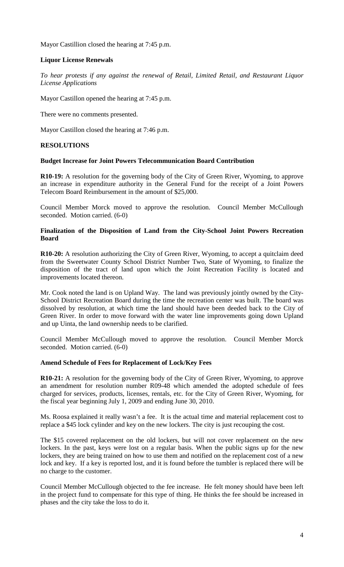Mayor Castillion closed the hearing at 7:45 p.m.

# **Liquor License Renewals**

*To hear protests if any against the renewal of Retail, Limited Retail, and Restaurant Liquor License Applications*

Mayor Castillon opened the hearing at 7:45 p.m.

There were no comments presented.

Mayor Castillon closed the hearing at 7:46 p.m.

# **RESOLUTIONS**

# **Budget Increase for Joint Powers Telecommunication Board Contribution**

**R10-19:** A resolution for the governing body of the City of Green River, Wyoming, to approve an increase in expenditure authority in the General Fund for the receipt of a Joint Powers Telecom Board Reimbursement in the amount of \$25,000.

Council Member Morck moved to approve the resolution. Council Member McCullough seconded. Motion carried. (6-0)

# **Finalization of the Disposition of Land from the City-School Joint Powers Recreation Board**

**R10-20:** A resolution authorizing the City of Green River, Wyoming, to accept a quitclaim deed from the Sweetwater County School District Number Two, State of Wyoming, to finalize the disposition of the tract of land upon which the Joint Recreation Facility is located and improvements located thereon.

Mr. Cook noted the land is on Upland Way. The land was previously jointly owned by the City-School District Recreation Board during the time the recreation center was built. The board was dissolved by resolution, at which time the land should have been deeded back to the City of Green River. In order to move forward with the water line improvements going down Upland and up Uinta, the land ownership needs to be clarified.

Council Member McCullough moved to approve the resolution. Council Member Morck seconded. Motion carried. (6-0)

# **Amend Schedule of Fees for Replacement of Lock/Key Fees**

**R10-21:** A resolution for the governing body of the City of Green River, Wyoming, to approve an amendment for resolution number R09-48 which amended the adopted schedule of fees charged for services, products, licenses, rentals, etc. for the City of Green River, Wyoming, for the fiscal year beginning July 1, 2009 and ending June 30, 2010.

Ms. Roosa explained it really wasn't a fee. It is the actual time and material replacement cost to replace a \$45 lock cylinder and key on the new lockers. The city is just recouping the cost.

The \$15 covered replacement on the old lockers, but will not cover replacement on the new lockers. In the past, keys were lost on a regular basis. When the public signs up for the new lockers, they are being trained on how to use them and notified on the replacement cost of a new lock and key. If a key is reported lost, and it is found before the tumbler is replaced there will be no charge to the customer.

Council Member McCullough objected to the fee increase. He felt money should have been left in the project fund to compensate for this type of thing. He thinks the fee should be increased in phases and the city take the loss to do it.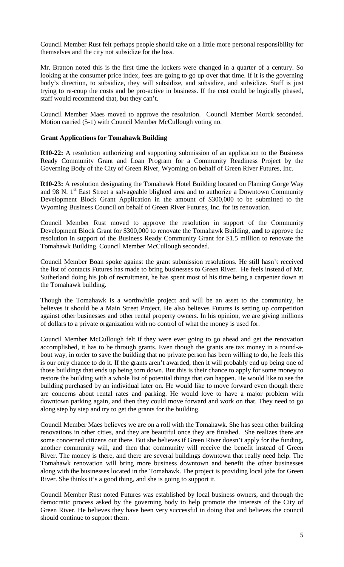Council Member Rust felt perhaps people should take on a little more personal responsibility for themselves and the city not subsidize for the loss.

Mr. Bratton noted this is the first time the lockers were changed in a quarter of a century. So looking at the consumer price index, fees are going to go up over that time. If it is the governing body's direction, to subsidize, they will subsidize, and subsidize, and subsidize. Staff is just trying to re-coup the costs and be pro-active in business. If the cost could be logically phased, staff would recommend that, but they can't.

Council Member Maes moved to approve the resolution. Council Member Morck seconded. Motion carried (5-1) with Council Member McCullough voting no.

#### **Grant Applications for Tomahawk Building**

**R10-22:** A resolution authorizing and supporting submission of an application to the Business Ready Community Grant and Loan Program for a Community Readiness Project by the Governing Body of the City of Green River, Wyoming on behalf of Green River Futures, Inc.

**R10-23:** A resolution designating the Tomahawk Hotel Building located on Flaming Gorge Way and 98 N.  $1<sup>st</sup>$  East Street a salvageable blighted area and to authorize a Downtown Community Development Block Grant Application in the amount of \$300,000 to be submitted to the Wyoming Business Council on behalf of Green River Futures, Inc. for its renovation.

Council Member Rust moved to approve the resolution in support of the Community Development Block Grant for \$300,000 to renovate the Tomahawk Building, **and** to approve the resolution in support of the Business Ready Community Grant for \$1.5 million to renovate the Tomahawk Building. Council Member McCullough seconded.

Council Member Boan spoke against the grant submission resolutions. He still hasn't received the list of contacts Futures has made to bring businesses to Green River. He feels instead of Mr. Sutherland doing his job of recruitment, he has spent most of his time being a carpenter down at the Tomahawk building.

Though the Tomahawk is a worthwhile project and will be an asset to the community, he believes it should be a Main Street Project. He also believes Futures is setting up competition against other businesses and other rental property owners. In his opinion, we are giving millions of dollars to a private organization with no control of what the money is used for.

Council Member McCullough felt if they were ever going to go ahead and get the renovation accomplished, it has to be through grants. Even though the grants are tax money in a round-about way, in order to save the building that no private person has been willing to do, he feels this is our only chance to do it. If the grants aren't awarded, then it will probably end up being one of those buildings that ends up being torn down. But this is their chance to apply for some money to restore the building with a whole list of potential things that can happen. He would like to see the building purchased by an individual later on. He would like to move forward even though there are concerns about rental rates and parking. He would love to have a major problem with downtown parking again, and then they could move forward and work on that. They need to go along step by step and try to get the grants for the building.

Council Member Maes believes we are on a roll with the Tomahawk. She has seen other building renovations in other cities, and they are beautiful once they are finished. She realizes there are some concerned citizens out there. But she believes if Green River doesn't apply for the funding, another community will, and then that community will receive the benefit instead of Green River. The money is there, and there are several buildings downtown that really need help. The Tomahawk renovation will bring more business downtown and benefit the other businesses along with the businesses located in the Tomahawk. The project is providing local jobs for Green River. She thinks it's a good thing, and she is going to support it.

Council Member Rust noted Futures was established by local business owners, and through the democratic process asked by the governing body to help promote the interests of the City of Green River. He believes they have been very successful in doing that and believes the council should continue to support them.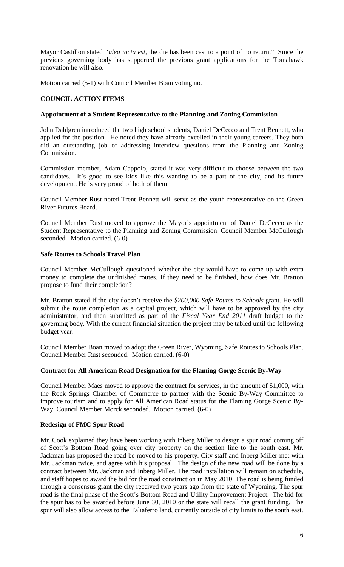Mayor Castillon stated *"alea iacta est,* the die has been cast to a point of no return." Since the previous governing body has supported the previous grant applications for the Tomahawk renovation he will also.

Motion carried (5-1) with Council Member Boan voting no.

# **COUNCIL ACTION ITEMS**

#### **Appointment of a Student Representative to the Planning and Zoning Commission**

John Dahlgren introduced the two high school students, Daniel DeCecco and Trent Bennett, who applied for the position. He noted they have already excelled in their young careers. They both did an outstanding job of addressing interview questions from the Planning and Zoning Commission.

Commission member, Adam Cappolo, stated it was very difficult to choose between the two candidates. It's good to see kids like this wanting to be a part of the city, and its future development. He is very proud of both of them.

Council Member Rust noted Trent Bennett will serve as the youth representative on the Green River Futures Board.

Council Member Rust moved to approve the Mayor's appointment of Daniel DeCecco as the Student Representative to the Planning and Zoning Commission. Council Member McCullough seconded. Motion carried. (6-0)

# **Safe Routes to Schools Travel Plan**

Council Member McCullough questioned whether the city would have to come up with extra money to complete the unfinished routes. If they need to be finished, how does Mr. Bratton propose to fund their completion?

Mr. Bratton stated if the city doesn't receive the *\$200,000 Safe Routes to Schools* grant. He will submit the route completion as a capital project, which will have to be approved by the city administrator, and then submitted as part of the *Fiscal Year End 2011* draft budget to the governing body. With the current financial situation the project may be tabled until the following budget year.

Council Member Boan moved to adopt the Green River, Wyoming, Safe Routes to Schools Plan. Council Member Rust seconded. Motion carried. (6-0)

#### **Contract for All American Road Designation for the Flaming Gorge Scenic By-Way**

Council Member Maes moved to approve the contract for services, in the amount of \$1,000, with the Rock Springs Chamber of Commerce to partner with the Scenic By-Way Committee to improve tourism and to apply for All American Road status for the Flaming Gorge Scenic By-Way. Council Member Morck seconded. Motion carried. (6-0)

# **Redesign of FMC Spur Road**

Mr. Cook explained they have been working with Inberg Miller to design a spur road coming off of Scott's Bottom Road going over city property on the section line to the south east. Mr. Jackman has proposed the road be moved to his property. City staff and Inberg Miller met with Mr. Jackman twice, and agree with his proposal. The design of the new road will be done by a contract between Mr. Jackman and Inberg Miller. The road installation will remain on schedule, and staff hopes to award the bid for the road construction in May 2010. The road is being funded through a consensus grant the city received two years ago from the state of Wyoming. The spur road is the final phase of the Scott's Bottom Road and Utility Improvement Project. The bid for the spur has to be awarded before June 30, 2010 or the state will recall the grant funding. The spur will also allow access to the Taliaferro land, currently outside of city limits to the south east.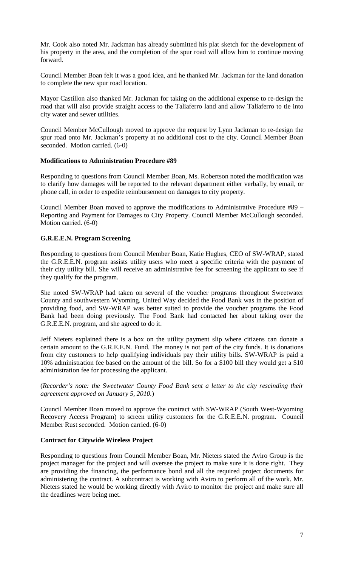Mr. Cook also noted Mr. Jackman has already submitted his plat sketch for the development of his property in the area, and the completion of the spur road will allow him to continue moving forward.

Council Member Boan felt it was a good idea, and he thanked Mr. Jackman for the land donation to complete the new spur road location.

Mayor Castillon also thanked Mr. Jackman for taking on the additional expense to re-design the road that will also provide straight access to the Taliaferro land and allow Taliaferro to tie into city water and sewer utilities.

Council Member McCullough moved to approve the request by Lynn Jackman to re-design the spur road onto Mr. Jackman's property at no additional cost to the city. Council Member Boan seconded. Motion carried. (6-0)

#### **Modifications to Administration Procedure #89**

Responding to questions from Council Member Boan, Ms. Robertson noted the modification was to clarify how damages will be reported to the relevant department either verbally, by email, or phone call, in order to expedite reimbursement on damages to city property.

Council Member Boan moved to approve the modifications to Administrative Procedure #89 – Reporting and Payment for Damages to City Property. Council Member McCullough seconded. Motion carried. (6-0)

# **G.R.E.E.N. Program Screening**

Responding to questions from Council Member Boan, Katie Hughes, CEO of SW-WRAP, stated the G.R.E.E.N. program assists utility users who meet a specific criteria with the payment of their city utility bill. She will receive an administrative fee for screening the applicant to see if they qualify for the program.

She noted SW-WRAP had taken on several of the voucher programs throughout Sweetwater County and southwestern Wyoming. United Way decided the Food Bank was in the position of providing food, and SW-WRAP was better suited to provide the voucher programs the Food Bank had been doing previously. The Food Bank had contacted her about taking over the G.R.E.E.N. program, and she agreed to do it.

Jeff Nieters explained there is a box on the utility payment slip where citizens can donate a certain amount to the G.R.E.E.N. Fund. The money is not part of the city funds. It is donations from city customers to help qualifying individuals pay their utility bills. SW-WRAP is paid a 10% administration fee based on the amount of the bill. So for a \$100 bill they would get a \$10 administration fee for processing the applicant.

(*Recorder's note: the Sweetwater County Food Bank sent a letter to the city rescinding their agreement approved on January 5, 2010.*)

Council Member Boan moved to approve the contract with SW-WRAP (South West-Wyoming Recovery Access Program) to screen utility customers for the G.R.E.E.N. program. Council Member Rust seconded. Motion carried. (6-0)

# **Contract for Citywide Wireless Project**

Responding to questions from Council Member Boan, Mr. Nieters stated the Aviro Group is the project manager for the project and will oversee the project to make sure it is done right. They are providing the financing, the performance bond and all the required project documents for administering the contract. A subcontract is working with Aviro to perform all of the work. Mr. Nieters stated he would be working directly with Aviro to monitor the project and make sure all the deadlines were being met.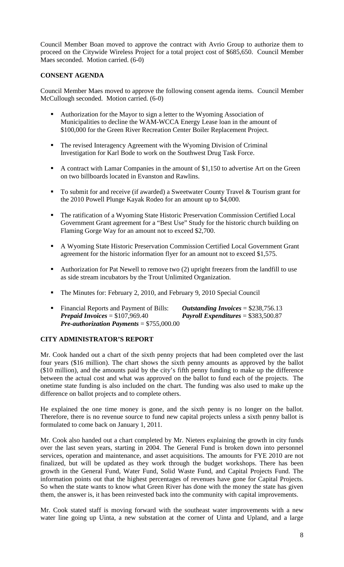Council Member Boan moved to approve the contract with Avrio Group to authorize them to proceed on the Citywide Wireless Project for a total project cost of \$685,650. Council Member Maes seconded. Motion carried. (6-0)

# **CONSENT AGENDA**

Council Member Maes moved to approve the following consent agenda items. Council Member McCullough seconded. Motion carried. (6-0)

- Authorization for the Mayor to sign a letter to the Wyoming Association of Municipalities to decline the WAM-WCCA Energy Lease loan in the amount of \$100,000 for the Green River Recreation Center Boiler Replacement Project.
- The revised Interagency Agreement with the Wyoming Division of Criminal Investigation for Karl Bode to work on the Southwest Drug Task Force.
- A contract with Lamar Companies in the amount of \$1,150 to advertise Art on the Green on two billboards located in Evanston and Rawlins.
- To submit for and receive (if awarded) a Sweetwater County Travel  $&$  Tourism grant for the 2010 Powell Plunge Kayak Rodeo for an amount up to \$4,000.
- The ratification of a Wyoming State Historic Preservation Commission Certified Local Government Grant agreement for a "Best Use" Study for the historic church building on Flaming Gorge Way for an amount not to exceed \$2,700.
- A Wyoming State Historic Preservation Commission Certified Local Government Grant agreement for the historic information flyer for an amount not to exceed \$1,575.
- Authorization for Pat Newell to remove two (2) upright freezers from the landfill to use as side stream incubators by the Trout Unlimited Organization.
- The Minutes for: February 2, 2010, and February 9, 2010 Special Council
- Financial Reports and Payment of Bills: *Outstanding Invoices* = \$238,756.13 *Prepaid Invoices* = \$107,969.40 *Payroll Expenditures* = \$383,500.87 *Pre-authorization Payments* = \$755,000.00

# **CITY ADMINISTRATOR'S REPORT**

Mr. Cook handed out a chart of the sixth penny projects that had been completed over the last four years (\$16 million). The chart shows the sixth penny amounts as approved by the ballot (\$10 million), and the amounts paid by the city's fifth penny funding to make up the difference between the actual cost and what was approved on the ballot to fund each of the projects. The onetime state funding is also included on the chart. The funding was also used to make up the difference on ballot projects and to complete others.

He explained the one time money is gone, and the sixth penny is no longer on the ballot. Therefore, there is no revenue source to fund new capital projects unless a sixth penny ballot is formulated to come back on January 1, 2011.

Mr. Cook also handed out a chart completed by Mr. Nieters explaining the growth in city funds over the last seven years, starting in 2004. The General Fund is broken down into personnel services, operation and maintenance, and asset acquisitions. The amounts for FYE 2010 are not finalized, but will be updated as they work through the budget workshops. There has been growth in the General Fund, Water Fund, Solid Waste Fund, and Capital Projects Fund. The information points out that the highest percentages of revenues have gone for Capital Projects. So when the state wants to know what Green River has done with the money the state has given them, the answer is, it has been reinvested back into the community with capital improvements.

Mr. Cook stated staff is moving forward with the southeast water improvements with a new water line going up Uinta, a new substation at the corner of Uinta and Upland, and a large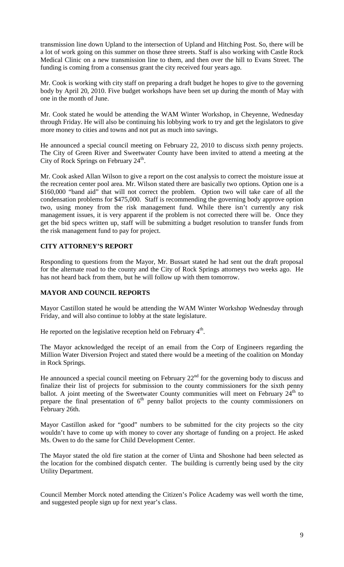transmission line down Upland to the intersection of Upland and Hitching Post. So, there will be a lot of work going on this summer on those three streets. Staff is also working with Castle Rock Medical Clinic on a new transmission line to them, and then over the hill to Evans Street. The funding is coming from a consensus grant the city received four years ago.

Mr. Cook is working with city staff on preparing a draft budget he hopes to give to the governing body by April 20, 2010. Five budget workshops have been set up during the month of May with one in the month of June.

Mr. Cook stated he would be attending the WAM Winter Workshop, in Cheyenne, Wednesday through Friday. He will also be continuing his lobbying work to try and get the legislators to give more money to cities and towns and not put as much into savings.

He announced a special council meeting on February 22, 2010 to discuss sixth penny projects. The City of Green River and Sweetwater County have been invited to attend a meeting at the City of Rock Springs on February  $24^{\text{th}}$ .

Mr. Cook asked Allan Wilson to give a report on the cost analysis to correct the moisture issue at the recreation center pool area. Mr. Wilson stated there are basically two options. Option one is a \$160,000 "band aid" that will not correct the problem. Option two will take care of all the condensation problems for \$475,000. Staff is recommending the governing body approve option two, using money from the risk management fund. While there isn't currently any risk management issues, it is very apparent if the problem is not corrected there will be. Once they get the bid specs written up, staff will be submitting a budget resolution to transfer funds from the risk management fund to pay for project.

# **CITY ATTORNEY'S REPORT**

Responding to questions from the Mayor, Mr. Bussart stated he had sent out the draft proposal for the alternate road to the county and the City of Rock Springs attorneys two weeks ago. He has not heard back from them, but he will follow up with them tomorrow.

# **MAYOR AND COUNCIL REPORTS**

Mayor Castillon stated he would be attending the WAM Winter Workshop Wednesday through Friday, and will also continue to lobby at the state legislature.

He reported on the legislative reception held on February  $4<sup>th</sup>$ .

The Mayor acknowledged the receipt of an email from the Corp of Engineers regarding the Million Water Diversion Project and stated there would be a meeting of the coalition on Monday in Rock Springs.

He announced a special council meeting on February  $22<sup>nd</sup>$  for the governing body to discuss and finalize their list of projects for submission to the county commissioners for the sixth penny ballot. A joint meeting of the Sweetwater County communities will meet on February  $24<sup>th</sup>$  to prepare the final presentation of  $6<sup>th</sup>$  penny ballot projects to the county commissioners on February 26th.

Mayor Castillon asked for "good" numbers to be submitted for the city projects so the city wouldn't have to come up with money to cover any shortage of funding on a project. He asked Ms. Owen to do the same for Child Development Center.

The Mayor stated the old fire station at the corner of Uinta and Shoshone had been selected as the location for the combined dispatch center. The building is currently being used by the city Utility Department.

Council Member Morck noted attending the Citizen's Police Academy was well worth the time, and suggested people sign up for next year's class.